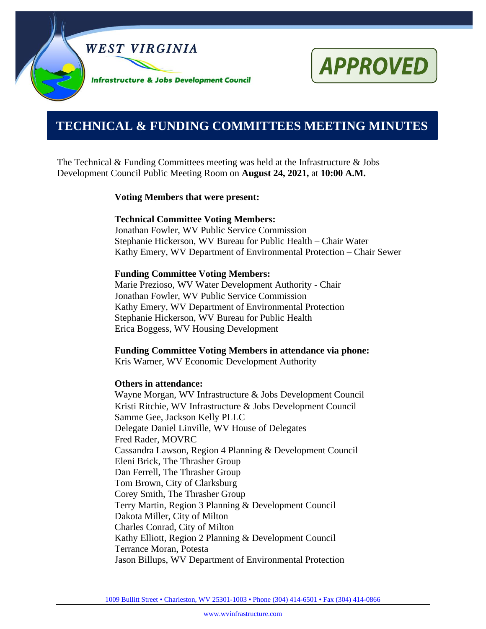

# **APPROVED**

# **0000000000000000000000000000000000000000000000000000. TECHNICAL & FUNDING COMMITTEES MEETING MINUTES**

The Technical & Funding Committees meeting was held at the Infrastructure  $\&$  Jobs Development Council Public Meeting Room on **August 24, 2021,** at **10:00 A.M.**

#### **Voting Members that were present:**

#### **Technical Committee Voting Members:**

Jonathan Fowler, WV Public Service Commission Stephanie Hickerson, WV Bureau for Public Health – Chair Water Kathy Emery, WV Department of Environmental Protection – Chair Sewer

#### **Funding Committee Voting Members:**

Marie Prezioso, WV Water Development Authority - Chair Jonathan Fowler, WV Public Service Commission Kathy Emery, WV Department of Environmental Protection Stephanie Hickerson, WV Bureau for Public Health Erica Boggess, WV Housing Development

#### **Funding Committee Voting Members in attendance via phone:**

Kris Warner, WV Economic Development Authority

#### **Others in attendance:**

Wayne Morgan, WV Infrastructure & Jobs Development Council Kristi Ritchie, WV Infrastructure & Jobs Development Council Samme Gee, Jackson Kelly PLLC Delegate Daniel Linville, WV House of Delegates Fred Rader, MOVRC Cassandra Lawson, Region 4 Planning & Development Council Eleni Brick, The Thrasher Group Dan Ferrell, The Thrasher Group Tom Brown, City of Clarksburg Corey Smith, The Thrasher Group Terry Martin, Region 3 Planning & Development Council Dakota Miller, City of Milton Charles Conrad, City of Milton Kathy Elliott, Region 2 Planning & Development Council Terrance Moran, Potesta Jason Billups, WV Department of Environmental Protection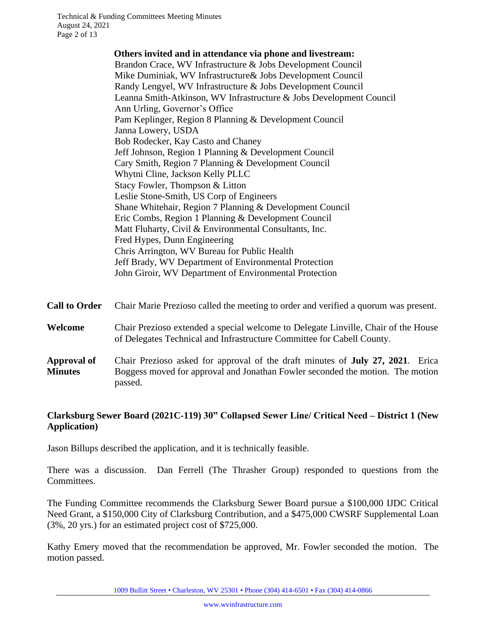| Others invited and in attendance via phone and livestream:          |
|---------------------------------------------------------------------|
| Brandon Crace, WV Infrastructure & Jobs Development Council         |
| Mike Duminiak, WV Infrastructure & Jobs Development Council         |
| Randy Lengyel, WV Infrastructure & Jobs Development Council         |
| Leanna Smith-Atkinson, WV Infrastructure & Jobs Development Council |
| Ann Urling, Governor's Office                                       |
| Pam Keplinger, Region 8 Planning & Development Council              |
| Janna Lowery, USDA                                                  |
| Bob Rodecker, Kay Casto and Chaney                                  |
| Jeff Johnson, Region 1 Planning & Development Council               |
| Cary Smith, Region 7 Planning & Development Council                 |
| Whytni Cline, Jackson Kelly PLLC                                    |
| Stacy Fowler, Thompson & Litton                                     |
| Leslie Stone-Smith, US Corp of Engineers                            |
| Shane Whitehair, Region 7 Planning & Development Council            |
| Eric Combs, Region 1 Planning & Development Council                 |
| Matt Fluharty, Civil & Environmental Consultants, Inc.              |
| Fred Hypes, Dunn Engineering                                        |
| Chris Arrington, WV Bureau for Public Health                        |
| Jeff Brady, WV Department of Environmental Protection               |
| John Giroir, WV Department of Environmental Protection              |
|                                                                     |

| Call to Order Chair Marie Prezioso called the meeting to order and verified a quorum was present. |  |
|---------------------------------------------------------------------------------------------------|--|
|---------------------------------------------------------------------------------------------------|--|

#### **Welcome** Chair Prezioso extended a special welcome to Delegate Linville, Chair of the House of Delegates Technical and Infrastructure Committee for Cabell County.

**Approval of Minutes** Chair Prezioso asked for approval of the draft minutes of **July 27, 2021**. Erica Boggess moved for approval and Jonathan Fowler seconded the motion. The motion passed.

#### **Clarksburg Sewer Board (2021C-119) 30" Collapsed Sewer Line/ Critical Need – District 1 (New Application)**

Jason Billups described the application, and it is technically feasible.

There was a discussion. Dan Ferrell (The Thrasher Group) responded to questions from the Committees.

The Funding Committee recommends the Clarksburg Sewer Board pursue a \$100,000 IJDC Critical Need Grant, a \$150,000 City of Clarksburg Contribution, and a \$475,000 CWSRF Supplemental Loan (3%, 20 yrs.) for an estimated project cost of \$725,000.

Kathy Emery moved that the recommendation be approved, Mr. Fowler seconded the motion. The motion passed.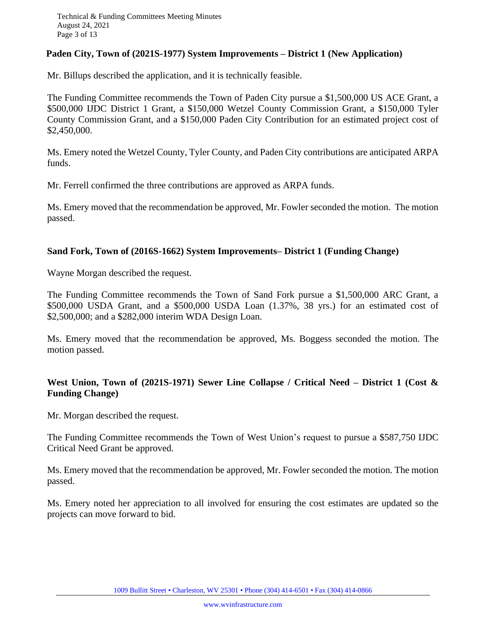#### **Paden City, Town of (2021S-1977) System Improvements – District 1 (New Application)**

Mr. Billups described the application, and it is technically feasible.

The Funding Committee recommends the Town of Paden City pursue a \$1,500,000 US ACE Grant, a \$500,000 IJDC District 1 Grant, a \$150,000 Wetzel County Commission Grant, a \$150,000 Tyler County Commission Grant, and a \$150,000 Paden City Contribution for an estimated project cost of \$2,450,000.

Ms. Emery noted the Wetzel County, Tyler County, and Paden City contributions are anticipated ARPA funds.

Mr. Ferrell confirmed the three contributions are approved as ARPA funds.

Ms. Emery moved that the recommendation be approved, Mr. Fowler seconded the motion. The motion passed.

#### **Sand Fork, Town of (2016S-1662) System Improvements– District 1 (Funding Change)**

Wayne Morgan described the request.

The Funding Committee recommends the Town of Sand Fork pursue a \$1,500,000 ARC Grant, a \$500,000 USDA Grant, and a \$500,000 USDA Loan (1.37%, 38 yrs.) for an estimated cost of \$2,500,000; and a \$282,000 interim WDA Design Loan.

Ms. Emery moved that the recommendation be approved, Ms. Boggess seconded the motion. The motion passed.

# **West Union, Town of (2021S-1971) Sewer Line Collapse / Critical Need – District 1 (Cost & Funding Change)**

Mr. Morgan described the request.

The Funding Committee recommends the Town of West Union's request to pursue a \$587,750 IJDC Critical Need Grant be approved.

Ms. Emery moved that the recommendation be approved, Mr. Fowler seconded the motion. The motion passed.

Ms. Emery noted her appreciation to all involved for ensuring the cost estimates are updated so the projects can move forward to bid.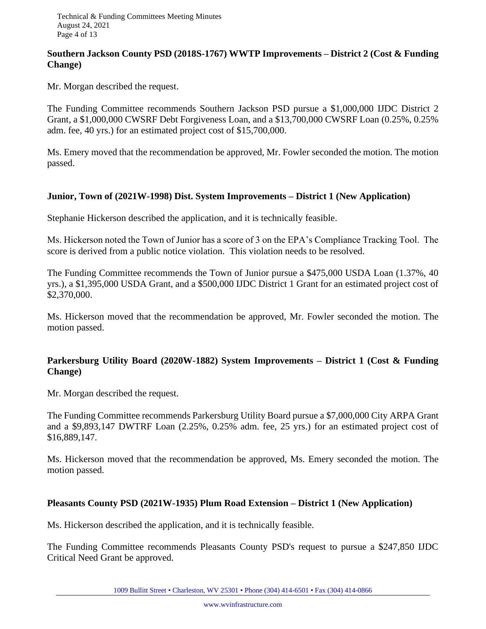#### **Southern Jackson County PSD (2018S-1767) WWTP Improvements – District 2 (Cost & Funding Change)**

Mr. Morgan described the request.

The Funding Committee recommends Southern Jackson PSD pursue a \$1,000,000 IJDC District 2 Grant, a \$1,000,000 CWSRF Debt Forgiveness Loan, and a \$13,700,000 CWSRF Loan (0.25%, 0.25% adm. fee, 40 yrs.) for an estimated project cost of \$15,700,000.

Ms. Emery moved that the recommendation be approved, Mr. Fowler seconded the motion. The motion passed.

#### **Junior, Town of (2021W-1998) Dist. System Improvements – District 1 (New Application)**

Stephanie Hickerson described the application, and it is technically feasible.

Ms. Hickerson noted the Town of Junior has a score of 3 on the EPA's Compliance Tracking Tool. The score is derived from a public notice violation. This violation needs to be resolved.

The Funding Committee recommends the Town of Junior pursue a \$475,000 USDA Loan (1.37%, 40 yrs.), a \$1,395,000 USDA Grant, and a \$500,000 IJDC District 1 Grant for an estimated project cost of \$2,370,000.

Ms. Hickerson moved that the recommendation be approved, Mr. Fowler seconded the motion. The motion passed.

# **Parkersburg Utility Board (2020W-1882) System Improvements – District 1 (Cost & Funding Change)**

Mr. Morgan described the request.

The Funding Committee recommends Parkersburg Utility Board pursue a \$7,000,000 City ARPA Grant and a \$9,893,147 DWTRF Loan (2.25%, 0.25% adm. fee, 25 yrs.) for an estimated project cost of \$16,889,147.

Ms. Hickerson moved that the recommendation be approved, Ms. Emery seconded the motion. The motion passed.

#### **Pleasants County PSD (2021W-1935) Plum Road Extension – District 1 (New Application)**

Ms. Hickerson described the application, and it is technically feasible.

The Funding Committee recommends Pleasants County PSD's request to pursue a \$247,850 IJDC Critical Need Grant be approved.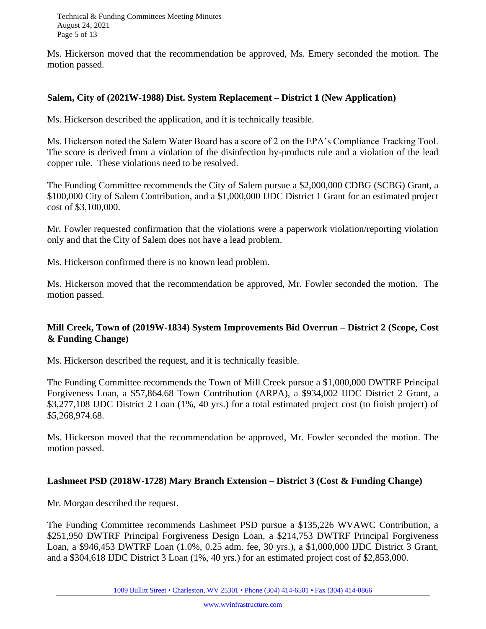Technical & Funding Committees Meeting Minutes August 24, 2021 Page 5 of 13

Ms. Hickerson moved that the recommendation be approved, Ms. Emery seconded the motion. The motion passed.

#### **Salem, City of (2021W-1988) Dist. System Replacement – District 1 (New Application)**

Ms. Hickerson described the application, and it is technically feasible.

Ms. Hickerson noted the Salem Water Board has a score of 2 on the EPA's Compliance Tracking Tool. The score is derived from a violation of the disinfection by-products rule and a violation of the lead copper rule. These violations need to be resolved.

The Funding Committee recommends the City of Salem pursue a \$2,000,000 CDBG (SCBG) Grant, a \$100,000 City of Salem Contribution, and a \$1,000,000 IJDC District 1 Grant for an estimated project cost of \$3,100,000.

Mr. Fowler requested confirmation that the violations were a paperwork violation/reporting violation only and that the City of Salem does not have a lead problem.

Ms. Hickerson confirmed there is no known lead problem.

Ms. Hickerson moved that the recommendation be approved, Mr. Fowler seconded the motion. The motion passed.

#### **Mill Creek, Town of (2019W-1834) System Improvements Bid Overrun – District 2 (Scope, Cost & Funding Change)**

Ms. Hickerson described the request, and it is technically feasible.

The Funding Committee recommends the Town of Mill Creek pursue a \$1,000,000 DWTRF Principal Forgiveness Loan, a \$57,864.68 Town Contribution (ARPA), a \$934,002 IJDC District 2 Grant, a \$3,277,108 IJDC District 2 Loan (1%, 40 yrs.) for a total estimated project cost (to finish project) of \$5,268,974.68.

Ms. Hickerson moved that the recommendation be approved, Mr. Fowler seconded the motion. The motion passed.

#### **Lashmeet PSD (2018W-1728) Mary Branch Extension – District 3 (Cost & Funding Change)**

Mr. Morgan described the request.

The Funding Committee recommends Lashmeet PSD pursue a \$135,226 WVAWC Contribution, a \$251,950 DWTRF Principal Forgiveness Design Loan, a \$214,753 DWTRF Principal Forgiveness Loan, a \$946,453 DWTRF Loan (1.0%, 0.25 adm. fee, 30 yrs.), a \$1,000,000 IJDC District 3 Grant, and a \$304,618 IJDC District 3 Loan (1%, 40 yrs.) for an estimated project cost of \$2,853,000.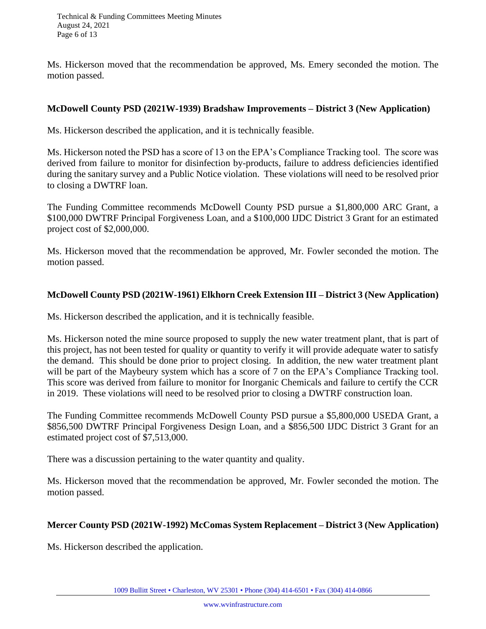Ms. Hickerson moved that the recommendation be approved, Ms. Emery seconded the motion. The motion passed.

#### **McDowell County PSD (2021W-1939) Bradshaw Improvements – District 3 (New Application)**

Ms. Hickerson described the application, and it is technically feasible.

Ms. Hickerson noted the PSD has a score of 13 on the EPA's Compliance Tracking tool. The score was derived from failure to monitor for disinfection by-products, failure to address deficiencies identified during the sanitary survey and a Public Notice violation. These violations will need to be resolved prior to closing a DWTRF loan.

The Funding Committee recommends McDowell County PSD pursue a \$1,800,000 ARC Grant, a \$100,000 DWTRF Principal Forgiveness Loan, and a \$100,000 IJDC District 3 Grant for an estimated project cost of \$2,000,000.

Ms. Hickerson moved that the recommendation be approved, Mr. Fowler seconded the motion. The motion passed.

#### **McDowell County PSD (2021W-1961) Elkhorn Creek Extension III – District 3 (New Application)**

Ms. Hickerson described the application, and it is technically feasible.

Ms. Hickerson noted the mine source proposed to supply the new water treatment plant, that is part of this project, has not been tested for quality or quantity to verify it will provide adequate water to satisfy the demand. This should be done prior to project closing. In addition, the new water treatment plant will be part of the Maybeury system which has a score of 7 on the EPA's Compliance Tracking tool. This score was derived from failure to monitor for Inorganic Chemicals and failure to certify the CCR in 2019. These violations will need to be resolved prior to closing a DWTRF construction loan.

The Funding Committee recommends McDowell County PSD pursue a \$5,800,000 USEDA Grant, a \$856,500 DWTRF Principal Forgiveness Design Loan, and a \$856,500 IJDC District 3 Grant for an estimated project cost of \$7,513,000.

There was a discussion pertaining to the water quantity and quality.

Ms. Hickerson moved that the recommendation be approved, Mr. Fowler seconded the motion. The motion passed.

#### **Mercer County PSD (2021W-1992) McComas System Replacement – District 3 (New Application)**

Ms. Hickerson described the application.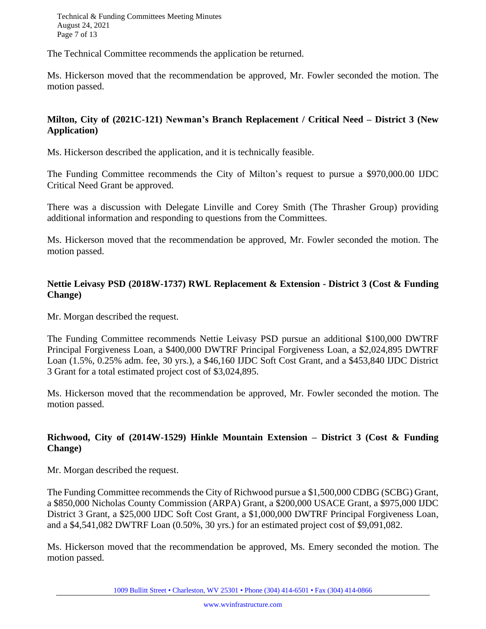Technical & Funding Committees Meeting Minutes August 24, 2021 Page 7 of 13

The Technical Committee recommends the application be returned.

Ms. Hickerson moved that the recommendation be approved, Mr. Fowler seconded the motion. The motion passed.

#### **Milton, City of (2021C-121) Newman's Branch Replacement / Critical Need – District 3 (New Application)**

Ms. Hickerson described the application, and it is technically feasible.

The Funding Committee recommends the City of Milton's request to pursue a \$970,000.00 IJDC Critical Need Grant be approved.

There was a discussion with Delegate Linville and Corey Smith (The Thrasher Group) providing additional information and responding to questions from the Committees.

Ms. Hickerson moved that the recommendation be approved, Mr. Fowler seconded the motion. The motion passed.

# **Nettie Leivasy PSD (2018W-1737) RWL Replacement & Extension - District 3 (Cost & Funding Change)**

Mr. Morgan described the request.

The Funding Committee recommends Nettie Leivasy PSD pursue an additional \$100,000 DWTRF Principal Forgiveness Loan, a \$400,000 DWTRF Principal Forgiveness Loan, a \$2,024,895 DWTRF Loan (1.5%, 0.25% adm. fee, 30 yrs.), a \$46,160 IJDC Soft Cost Grant, and a \$453,840 IJDC District 3 Grant for a total estimated project cost of \$3,024,895.

Ms. Hickerson moved that the recommendation be approved, Mr. Fowler seconded the motion. The motion passed.

# **Richwood, City of (2014W-1529) Hinkle Mountain Extension – District 3 (Cost & Funding Change)**

Mr. Morgan described the request.

The Funding Committee recommends the City of Richwood pursue a \$1,500,000 CDBG (SCBG) Grant, a \$850,000 Nicholas County Commission (ARPA) Grant, a \$200,000 USACE Grant, a \$975,000 IJDC District 3 Grant, a \$25,000 IJDC Soft Cost Grant, a \$1,000,000 DWTRF Principal Forgiveness Loan, and a \$4,541,082 DWTRF Loan (0.50%, 30 yrs.) for an estimated project cost of \$9,091,082.

Ms. Hickerson moved that the recommendation be approved, Ms. Emery seconded the motion. The motion passed.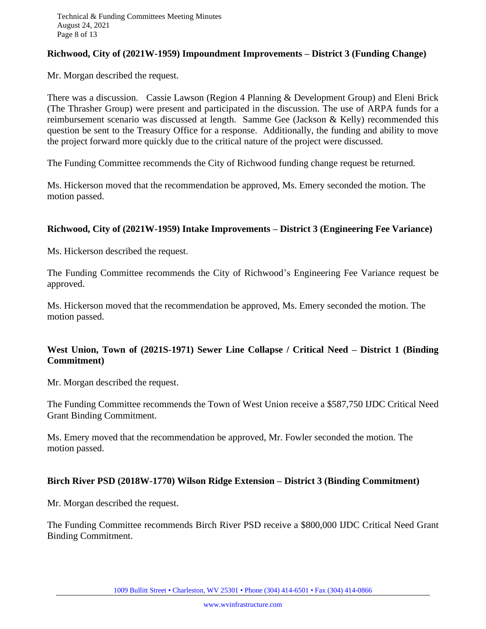#### **Richwood, City of (2021W-1959) Impoundment Improvements – District 3 (Funding Change)**

Mr. Morgan described the request.

There was a discussion. Cassie Lawson (Region 4 Planning & Development Group) and Eleni Brick (The Thrasher Group) were present and participated in the discussion. The use of ARPA funds for a reimbursement scenario was discussed at length. Samme Gee (Jackson & Kelly) recommended this question be sent to the Treasury Office for a response. Additionally, the funding and ability to move the project forward more quickly due to the critical nature of the project were discussed.

The Funding Committee recommends the City of Richwood funding change request be returned.

Ms. Hickerson moved that the recommendation be approved, Ms. Emery seconded the motion. The motion passed.

#### **Richwood, City of (2021W-1959) Intake Improvements – District 3 (Engineering Fee Variance)**

Ms. Hickerson described the request.

The Funding Committee recommends the City of Richwood's Engineering Fee Variance request be approved.

Ms. Hickerson moved that the recommendation be approved, Ms. Emery seconded the motion. The motion passed.

# **West Union, Town of (2021S-1971) Sewer Line Collapse / Critical Need – District 1 (Binding Commitment)**

Mr. Morgan described the request.

The Funding Committee recommends the Town of West Union receive a \$587,750 IJDC Critical Need Grant Binding Commitment.

Ms. Emery moved that the recommendation be approved, Mr. Fowler seconded the motion. The motion passed.

#### **Birch River PSD (2018W-1770) Wilson Ridge Extension – District 3 (Binding Commitment)**

Mr. Morgan described the request.

The Funding Committee recommends Birch River PSD receive a \$800,000 IJDC Critical Need Grant Binding Commitment.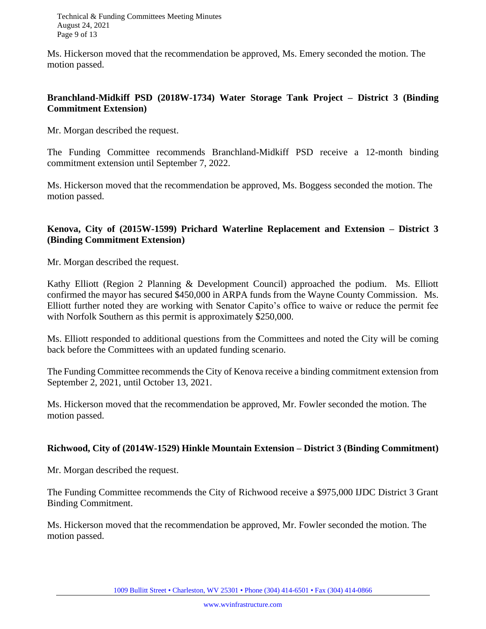Ms. Hickerson moved that the recommendation be approved, Ms. Emery seconded the motion. The motion passed.

#### **Branchland-Midkiff PSD (2018W-1734) Water Storage Tank Project – District 3 (Binding Commitment Extension)**

Mr. Morgan described the request.

The Funding Committee recommends Branchland-Midkiff PSD receive a 12-month binding commitment extension until September 7, 2022.

Ms. Hickerson moved that the recommendation be approved, Ms. Boggess seconded the motion. The motion passed.

# **Kenova, City of (2015W-1599) Prichard Waterline Replacement and Extension – District 3 (Binding Commitment Extension)**

Mr. Morgan described the request.

Kathy Elliott (Region 2 Planning & Development Council) approached the podium. Ms. Elliott confirmed the mayor has secured \$450,000 in ARPA funds from the Wayne County Commission. Ms. Elliott further noted they are working with Senator Capito's office to waive or reduce the permit fee with Norfolk Southern as this permit is approximately \$250,000.

Ms. Elliott responded to additional questions from the Committees and noted the City will be coming back before the Committees with an updated funding scenario.

The Funding Committee recommends the City of Kenova receive a binding commitment extension from September 2, 2021, until October 13, 2021.

Ms. Hickerson moved that the recommendation be approved, Mr. Fowler seconded the motion. The motion passed.

#### **Richwood, City of (2014W-1529) Hinkle Mountain Extension – District 3 (Binding Commitment)**

Mr. Morgan described the request.

The Funding Committee recommends the City of Richwood receive a \$975,000 IJDC District 3 Grant Binding Commitment.

Ms. Hickerson moved that the recommendation be approved, Mr. Fowler seconded the motion. The motion passed.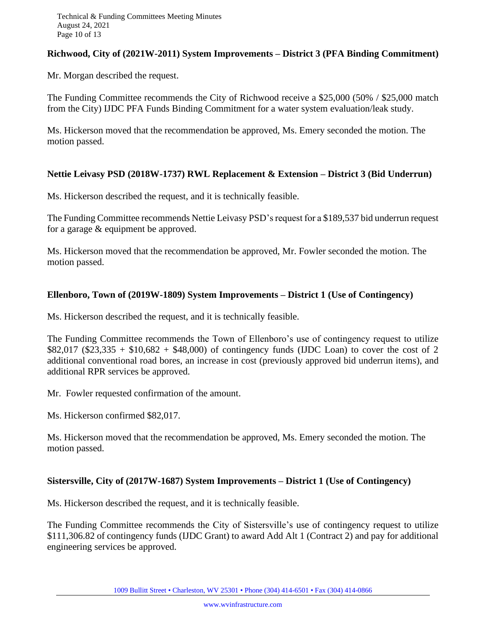#### **Richwood, City of (2021W-2011) System Improvements – District 3 (PFA Binding Commitment)**

Mr. Morgan described the request.

The Funding Committee recommends the City of Richwood receive a \$25,000 (50% / \$25,000 match from the City) IJDC PFA Funds Binding Commitment for a water system evaluation/leak study.

Ms. Hickerson moved that the recommendation be approved, Ms. Emery seconded the motion. The motion passed.

#### **Nettie Leivasy PSD (2018W-1737) RWL Replacement & Extension – District 3 (Bid Underrun)**

Ms. Hickerson described the request, and it is technically feasible.

The Funding Committee recommends Nettie Leivasy PSD's request for a \$189,537 bid underrun request for a garage & equipment be approved.

Ms. Hickerson moved that the recommendation be approved, Mr. Fowler seconded the motion. The motion passed.

#### **Ellenboro, Town of (2019W-1809) System Improvements – District 1 (Use of Contingency)**

Ms. Hickerson described the request, and it is technically feasible.

The Funding Committee recommends the Town of Ellenboro's use of contingency request to utilize  $$82,017$  (\$23,335 + \$10,682 + \$48,000) of contingency funds (IJDC Loan) to cover the cost of 2 additional conventional road bores, an increase in cost (previously approved bid underrun items), and additional RPR services be approved.

Mr. Fowler requested confirmation of the amount.

Ms. Hickerson confirmed \$82,017.

Ms. Hickerson moved that the recommendation be approved, Ms. Emery seconded the motion. The motion passed.

#### **Sistersville, City of (2017W-1687) System Improvements – District 1 (Use of Contingency)**

Ms. Hickerson described the request, and it is technically feasible.

The Funding Committee recommends the City of Sistersville's use of contingency request to utilize \$111,306.82 of contingency funds (IJDC Grant) to award Add Alt 1 (Contract 2) and pay for additional engineering services be approved.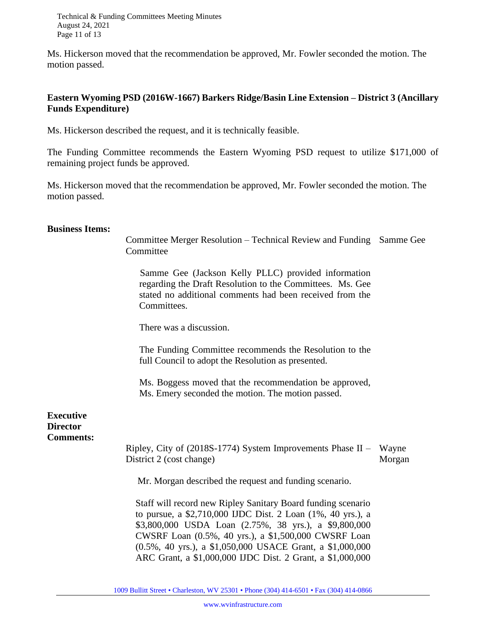Technical & Funding Committees Meeting Minutes August 24, 2021 Page 11 of 13

Ms. Hickerson moved that the recommendation be approved, Mr. Fowler seconded the motion. The motion passed.

#### **Eastern Wyoming PSD (2016W-1667) Barkers Ridge/Basin Line Extension – District 3 (Ancillary Funds Expenditure)**

Ms. Hickerson described the request, and it is technically feasible.

The Funding Committee recommends the Eastern Wyoming PSD request to utilize \$171,000 of remaining project funds be approved.

Ms. Hickerson moved that the recommendation be approved, Mr. Fowler seconded the motion. The motion passed.

#### **Business Items:**

| Committee Merger Resolution – Technical Review and Funding Samme Gee |  |
|----------------------------------------------------------------------|--|
| Committee                                                            |  |

 Samme Gee (Jackson Kelly PLLC) provided information regarding the Draft Resolution to the Committees. Ms. Gee stated no additional comments had been received from the Committees.

There was a discussion.

The Funding Committee recommends the Resolution to the full Council to adopt the Resolution as presented.

Ms. Boggess moved that the recommendation be approved, Ms. Emery seconded the motion. The motion passed.

**Executive Director Comments:**

> Ripley, City of (2018S-1774) System Improvements Phase II – Wayne District 2 (cost change) Morgan

Mr. Morgan described the request and funding scenario.

Staff will record new Ripley Sanitary Board funding scenario to pursue, a \$2,710,000 IJDC Dist. 2 Loan (1%, 40 yrs.), a \$3,800,000 USDA Loan (2.75%, 38 yrs.), a \$9,800,000 CWSRF Loan (0.5%, 40 yrs.), a \$1,500,000 CWSRF Loan (0.5%, 40 yrs.), a \$1,050,000 USACE Grant, a \$1,000,000 ARC Grant, a \$1,000,000 IJDC Dist. 2 Grant, a \$1,000,000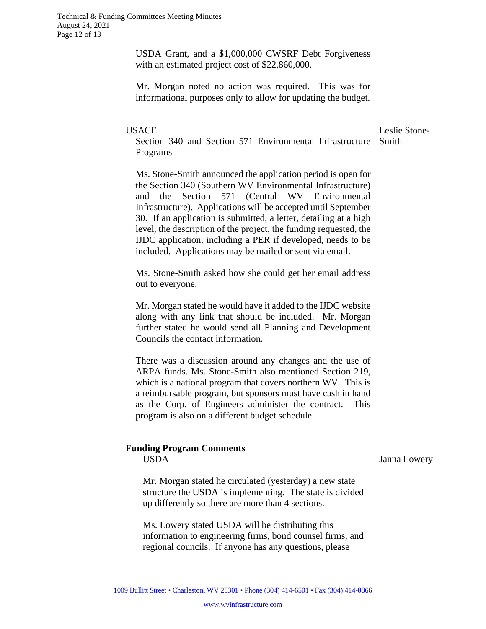USDA Grant, and a \$1,000,000 CWSRF Debt Forgiveness with an estimated project cost of \$22,860,000.

Mr. Morgan noted no action was required. This was for informational purposes only to allow for updating the budget.

#### **USACE**

Leslie Stone-

Section 340 and Section 571 Environmental Infrastructure Smith Programs

Ms. Stone-Smith announced the application period is open for the Section 340 (Southern WV Environmental Infrastructure) and the Section 571 (Central WV Environmental Infrastructure). Applications will be accepted until September 30. If an application is submitted, a letter, detailing at a high level, the description of the project, the funding requested, the IJDC application, including a PER if developed, needs to be included. Applications may be mailed or sent via email.

Ms. Stone-Smith asked how she could get her email address out to everyone.

Mr. Morgan stated he would have it added to the IJDC website along with any link that should be included. Mr. Morgan further stated he would send all Planning and Development Councils the contact information.

There was a discussion around any changes and the use of ARPA funds. Ms. Stone-Smith also mentioned Section 219, which is a national program that covers northern WV. This is a reimbursable program, but sponsors must have cash in hand as the Corp. of Engineers administer the contract. This program is also on a different budget schedule.

#### **Funding Program Comments**

USDA

Janna Lowery

Mr. Morgan stated he circulated (yesterday) a new state structure the USDA is implementing. The state is divided up differently so there are more than 4 sections.

Ms. Lowery stated USDA will be distributing this information to engineering firms, bond counsel firms, and regional councils. If anyone has any questions, please